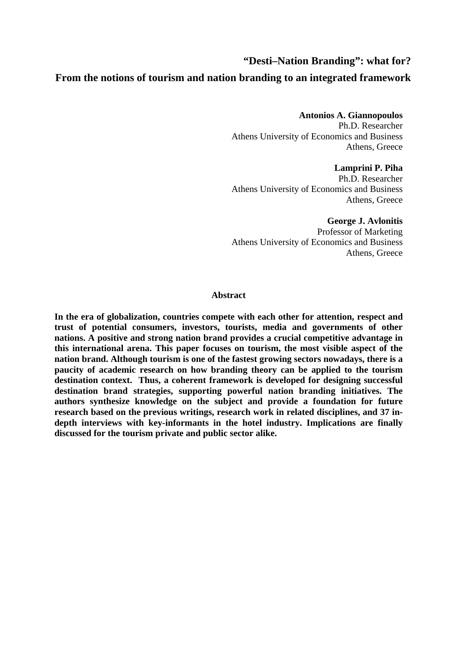# **"Desti–Nation Branding": what for?**

# **From the notions of tourism and nation branding to an integrated framework**

# **Antonios A. Giannopoulos**

Ph.D. Researcher Athens University of Economics and Business Athens, Greece

## **Lamprini P. Piha**

Ph.D. Researcher Athens University of Economics and Business Athens, Greece

## **George J. Avlonitis**

Professor of Marketing Athens University of Economics and Business Athens, Greece

## **Abstract**

**In the era of globalization, countries compete with each other for attention, respect and trust of potential consumers, investors, tourists, media and governments of other nations. A positive and strong nation brand provides a crucial competitive advantage in this international arena. This paper focuses on tourism, the most visible aspect of the nation brand. Although tourism is one of the fastest growing sectors nowadays, there is a paucity of academic research on how branding theory can be applied to the tourism destination context. Thus, a coherent framework is developed for designing successful destination brand strategies, supporting powerful nation branding initiatives. The authors synthesize knowledge on the subject and provide a foundation for future research based on the previous writings, research work in related disciplines, and 37 indepth interviews with key-informants in the hotel industry. Implications are finally discussed for the tourism private and public sector alike.**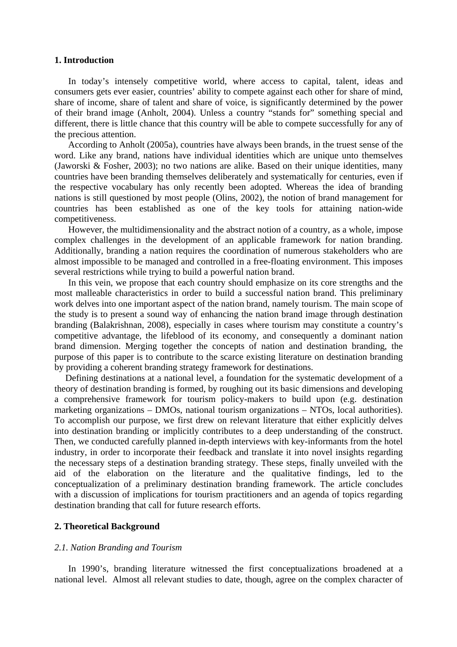## **1. Introduction**

In today's intensely competitive world, where access to capital, talent, ideas and consumers gets ever easier, countries' ability to compete against each other for share of mind, share of income, share of talent and share of voice, is significantly determined by the power of their brand image (Anholt, 2004). Unless a country "stands for" something special and different, there is little chance that this country will be able to compete successfully for any of the precious attention.

According to Anholt (2005a), countries have always been brands, in the truest sense of the word. Like any brand, nations have individual identities which are unique unto themselves (Jaworski & Fosher, 2003); no two nations are alike. Based on their unique identities, many countries have been branding themselves deliberately and systematically for centuries, even if the respective vocabulary has only recently been adopted. Whereas the idea of branding nations is still questioned by most people (Olins, 2002), the notion of brand management for countries has been established as one of the key tools for attaining nation-wide competitiveness.

However, the multidimensionality and the abstract notion of a country, as a whole, impose complex challenges in the development of an applicable framework for nation branding. Additionally, branding a nation requires the coordination of numerous stakeholders who are almost impossible to be managed and controlled in a free-floating environment. This imposes several restrictions while trying to build a powerful nation brand.

In this vein, we propose that each country should emphasize on its core strengths and the most malleable characteristics in order to build a successful nation brand. This preliminary work delves into one important aspect of the nation brand, namely tourism. The main scope of the study is to present a sound way of enhancing the nation brand image through destination branding (Balakrishnan, 2008), especially in cases where tourism may constitute a country's competitive advantage, the lifeblood of its economy, and consequently a dominant nation brand dimension. Merging together the concepts of nation and destination branding, the purpose of this paper is to contribute to the scarce existing literature on destination branding by providing a coherent branding strategy framework for destinations.

Defining destinations at a national level, a foundation for the systematic development of a theory of destination branding is formed, by roughing out its basic dimensions and developing a comprehensive framework for tourism policy-makers to build upon (e.g. destination marketing organizations – DMOs, national tourism organizations – NTOs, local authorities). To accomplish our purpose, we first drew on relevant literature that either explicitly delves into destination branding or implicitly contributes to a deep understanding of the construct. Then, we conducted carefully planned in-depth interviews with key-informants from the hotel industry, in order to incorporate their feedback and translate it into novel insights regarding the necessary steps of a destination branding strategy. These steps, finally unveiled with the aid of the elaboration on the literature and the qualitative findings, led to the conceptualization of a preliminary destination branding framework. The article concludes with a discussion of implications for tourism practitioners and an agenda of topics regarding destination branding that call for future research efforts.

# **2. Theoretical Background**

#### *2.1. Nation Branding and Tourism*

In 1990's, branding literature witnessed the first conceptualizations broadened at a national level. Almost all relevant studies to date, though, agree on the complex character of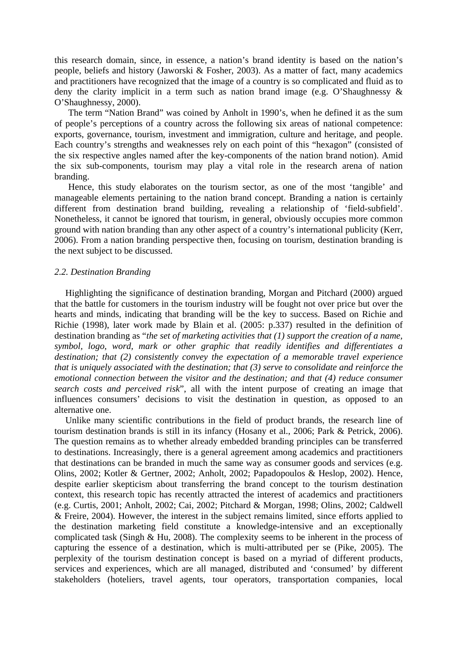this research domain, since, in essence, a nation's brand identity is based on the nation's people, beliefs and history (Jaworski & Fosher, 2003). As a matter of fact, many academics and practitioners have recognized that the image of a country is so complicated and fluid as to deny the clarity implicit in a term such as nation brand image (e.g. O'Shaughnessy & O'Shaughnessy, 2000).

The term "Nation Brand" was coined by Anholt in 1990's, when he defined it as the sum of people's perceptions of a country across the following six areas of national competence: exports, governance, tourism, investment and immigration, culture and heritage, and people. Each country's strengths and weaknesses rely on each point of this "hexagon" (consisted of the six respective angles named after the key-components of the nation brand notion). Amid the six sub-components, tourism may play a vital role in the research arena of nation branding.

Hence, this study elaborates on the tourism sector, as one of the most 'tangible' and manageable elements pertaining to the nation brand concept. Branding a nation is certainly different from destination brand building, revealing a relationship of 'field-subfield'. Nonetheless, it cannot be ignored that tourism, in general, obviously occupies more common ground with nation branding than any other aspect of a country's international publicity (Kerr, 2006). From a nation branding perspective then, focusing on tourism, destination branding is the next subject to be discussed.

#### *2.2. Destination Branding*

Highlighting the significance of destination branding, Morgan and Pitchard (2000) argued that the battle for customers in the tourism industry will be fought not over price but over the hearts and minds, indicating that branding will be the key to success. Based on Richie and Richie (1998), later work made by Blain et al. (2005: p.337) resulted in the definition of destination branding as "*the set of marketing activities that (1) support the creation of a name, symbol, logo, word, mark or other graphic that readily identifies and differentiates a destination; that (2) consistently convey the expectation of a memorable travel experience that is uniquely associated with the destination; that (3) serve to consolidate and reinforce the emotional connection between the visitor and the destination; and that (4) reduce consumer search costs and perceived risk*", all with the intent purpose of creating an image that influences consumers' decisions to visit the destination in question, as opposed to an alternative one.

Unlike many scientific contributions in the field of product brands, the research line of tourism destination brands is still in its infancy (Hosany et al., 2006; Park & Petrick, 2006). The question remains as to whether already embedded branding principles can be transferred to destinations. Increasingly, there is a general agreement among academics and practitioners that destinations can be branded in much the same way as consumer goods and services (e.g. Olins, 2002; Kotler & Gertner, 2002; Anholt, 2002; Papadopoulos & Heslop, 2002). Hence, despite earlier skepticism about transferring the brand concept to the tourism destination context, this research topic has recently attracted the interest of academics and practitioners (e.g. Curtis, 2001; Anholt, 2002; Cai, 2002; Pitchard & Morgan, 1998; Olins, 2002; Caldwell & Freire, 2004). However, the interest in the subject remains limited, since efforts applied to the destination marketing field constitute a knowledge-intensive and an exceptionally complicated task (Singh & Hu, 2008). The complexity seems to be inherent in the process of capturing the essence of a destination, which is multi-attributed per se (Pike, 2005). The perplexity of the tourism destination concept is based on a myriad of different products, services and experiences, which are all managed, distributed and 'consumed' by different stakeholders (hoteliers, travel agents, tour operators, transportation companies, local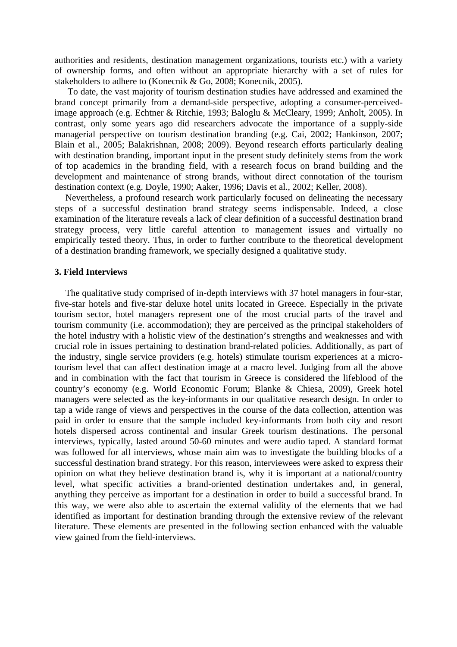authorities and residents, destination management organizations, tourists etc.) with a variety of ownership forms, and often without an appropriate hierarchy with a set of rules for stakeholders to adhere to (Konecnik & Go, 2008; Konecnik, 2005).

 To date, the vast majority of tourism destination studies have addressed and examined the brand concept primarily from a demand-side perspective, adopting a consumer-perceivedimage approach (e.g. Echtner & Ritchie, 1993; Baloglu & McCleary, 1999; Anholt, 2005). In contrast, only some years ago did researchers advocate the importance of a supply-side managerial perspective on tourism destination branding (e.g. Cai, 2002; Hankinson, 2007; Blain et al., 2005; Balakrishnan, 2008; 2009). Beyond research efforts particularly dealing with destination branding, important input in the present study definitely stems from the work of top academics in the branding field, with a research focus on brand building and the development and maintenance of strong brands, without direct connotation of the tourism destination context (e.g. Doyle, 1990; Aaker, 1996; Davis et al., 2002; Keller, 2008).

Nevertheless, a profound research work particularly focused on delineating the necessary steps of a successful destination brand strategy seems indispensable. Indeed, a close examination of the literature reveals a lack of clear definition of a successful destination brand strategy process, very little careful attention to management issues and virtually no empirically tested theory. Thus, in order to further contribute to the theoretical development of a destination branding framework, we specially designed a qualitative study.

## **3. Field Interviews**

The qualitative study comprised of in-depth interviews with 37 hotel managers in four-star, five-star hotels and five-star deluxe hotel units located in Greece. Especially in the private tourism sector, hotel managers represent one of the most crucial parts of the travel and tourism community (i.e. accommodation); they are perceived as the principal stakeholders of the hotel industry with a holistic view of the destination's strengths and weaknesses and with crucial role in issues pertaining to destination brand-related policies. Additionally, as part of the industry, single service providers (e.g. hotels) stimulate tourism experiences at a microtourism level that can affect destination image at a macro level. Judging from all the above and in combination with the fact that tourism in Greece is considered the lifeblood of the country's economy (e.g. World Economic Forum; Blanke & Chiesa, 2009), Greek hotel managers were selected as the key-informants in our qualitative research design. In order to tap a wide range of views and perspectives in the course of the data collection, attention was paid in order to ensure that the sample included key-informants from both city and resort hotels dispersed across continental and insular Greek tourism destinations. The personal interviews, typically, lasted around 50-60 minutes and were audio taped. A standard format was followed for all interviews, whose main aim was to investigate the building blocks of a successful destination brand strategy. For this reason, interviewees were asked to express their opinion on what they believe destination brand is, why it is important at a national/country level, what specific activities a brand-oriented destination undertakes and, in general, anything they perceive as important for a destination in order to build a successful brand. In this way, we were also able to ascertain the external validity of the elements that we had identified as important for destination branding through the extensive review of the relevant literature. These elements are presented in the following section enhanced with the valuable view gained from the field-interviews.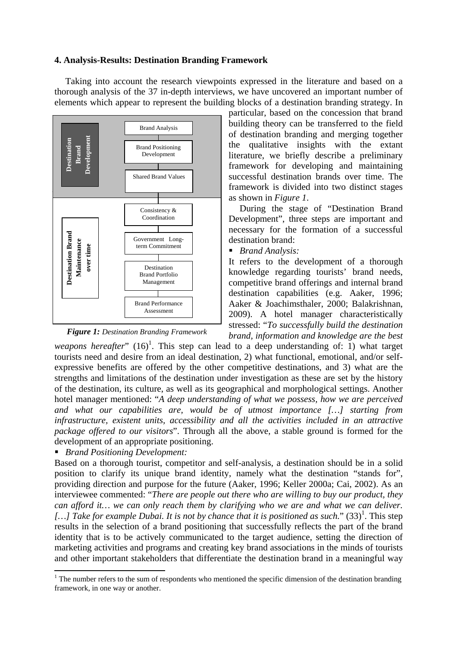# **4. Analysis-Results: Destination Branding Framework**

Taking into account the research viewpoints expressed in the literature and based on a thorough analysis of the 37 in-depth interviews, we have uncovered an important number of elements which appear to represent the building blocks of a destination branding strategy. In



particular, based on the concession that brand building theory can be transferred to the field of destination branding and merging together the qualitative insights with the extant literature, we briefly describe a preliminary framework for developing and maintaining successful destination brands over time. The framework is divided into two distinct stages as shown in *Figure 1*.

During the stage of "Destination Brand Development", three steps are important and necessary for the formation of a successful destination brand:

*Brand Analysis:*

It refers to the development of a thorough knowledge regarding tourists' brand needs, competitive brand offerings and internal brand destination capabilities (e.g. Aaker, 1996; Aaker & Joachimsthaler, 2000; Balakrishnan, 2009). A hotel manager characteristically stressed: "*To successfully build the destination brand, information and knowledge are the best* 

*weapons hereafter*"  $(16)^1$ . This step can lead to a deep understanding of: 1) what target tourists need and desire from an ideal destination, 2) what functional, emotional, and/or selfexpressive benefits are offered by the other competitive destinations, and 3) what are the strengths and limitations of the destination under investigation as these are set by the history of the destination, its culture, as well as its geographical and morphological settings. Another hotel manager mentioned: "*A deep understanding of what we possess, how we are perceived and what our capabilities are, would be of utmost importance […] starting from infrastructure, existent units, accessibility and all the activities included in an attractive package offered to our visitors*". Through all the above, a stable ground is formed for the development of an appropriate positioning.

*Brand Positioning Development:*

Based on a thorough tourist, competitor and self-analysis, a destination should be in a solid position to clarify its unique brand identity, namely what the destination "stands for", providing direction and purpose for the future (Aaker, 1996; Keller 2000a; Cai, 2002). As an interviewee commented: "*There are people out there who are willing to buy our product, they can afford it… we can only reach them by clarifying who we are and what we can deliver.*  [...] Take for example Dubai. It is not by chance that it is positioned as such." (33)<sup>1</sup>. This step results in the selection of a brand positioning that successfully reflects the part of the brand identity that is to be actively communicated to the target audience, setting the direction of marketing activities and programs and creating key brand associations in the minds of tourists and other important stakeholders that differentiate the destination brand in a meaningful way

 $<sup>1</sup>$  The number refers to the sum of respondents who mentioned the specific dimension of the destination branding</sup> framework, in one way or another.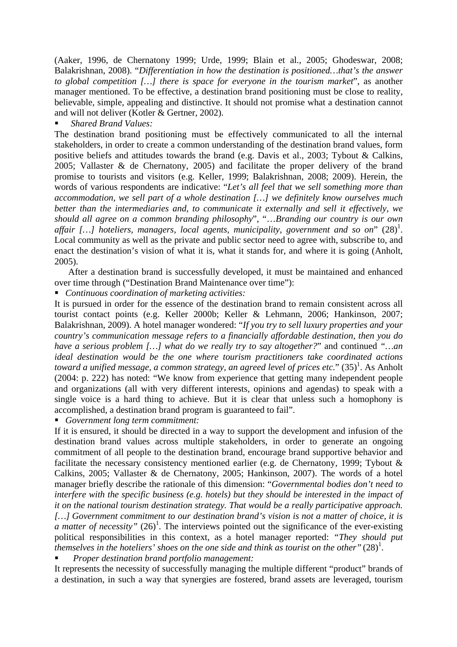(Aaker, 1996, de Chernatony 1999; Urde, 1999; Blain et al., 2005; Ghodeswar, 2008; Balakrishnan, 2008). "*Differentiation in how the destination is positioned…that's the answer to global competition […] there is space for everyone in the tourism market*", as another manager mentioned. To be effective, a destination brand positioning must be close to reality, believable, simple, appealing and distinctive. It should not promise what a destination cannot and will not deliver (Kotler & Gertner, 2002).

# *Shared Brand Values:*

The destination brand positioning must be effectively communicated to all the internal stakeholders, in order to create a common understanding of the destination brand values, form positive beliefs and attitudes towards the brand (e.g. Davis et al., 2003; Tybout & Calkins, 2005; Vallaster & de Chernatony, 2005) and facilitate the proper delivery of the brand promise to tourists and visitors (e.g. Keller, 1999; Balakrishnan, 2008; 2009). Herein, the words of various respondents are indicative: "*Let's all feel that we sell something more than accommodation, we sell part of a whole destination […] we definitely know ourselves much better than the intermediaries and, to communicate it externally and sell it effectively, we should all agree on a common branding philosophy*", "…*Branding our country is our own*  affair [...] hoteliers, managers, local agents, municipality, government and so on" (28)<sup>1</sup>. Local community as well as the private and public sector need to agree with, subscribe to, and enact the destination's vision of what it is, what it stands for, and where it is going (Anholt, 2005).

After a destination brand is successfully developed, it must be maintained and enhanced over time through ("Destination Brand Maintenance over time"):

*Continuous coordination of marketing activities:*

It is pursued in order for the essence of the destination brand to remain consistent across all tourist contact points (e.g. Keller 2000b; Keller & Lehmann, 2006; Hankinson, 2007; Balakrishnan, 2009). A hotel manager wondered: "*If you try to sell luxury properties and your country's communication message refers to a financially affordable destination, then you do have a serious problem […] what do we really try to say altogether?*" and continued *"…an ideal destination would be the one where tourism practitioners take coordinated actions*  toward a unified message, a common strategy, an agreed level of prices etc." (35)<sup>1</sup>. As Anholt (2004: p. 222) has noted: "We know from experience that getting many independent people and organizations (all with very different interests, opinions and agendas) to speak with a single voice is a hard thing to achieve. But it is clear that unless such a homophony is accomplished, a destination brand program is guaranteed to fail".

*Government long term commitment:*

If it is ensured, it should be directed in a way to support the development and infusion of the destination brand values across multiple stakeholders, in order to generate an ongoing commitment of all people to the destination brand, encourage brand supportive behavior and facilitate the necessary consistency mentioned earlier (e.g. de Chernatony, 1999; Tybout & Calkins, 2005; Vallaster & de Chernatony, 2005; Hankinson, 2007). The words of a hotel manager briefly describe the rationale of this dimension: "*Governmental bodies don't need to interfere with the specific business (e.g. hotels) but they should be interested in the impact of it on the national tourism destination strategy. That would be a really participative approach. […] Government commitment to our destination brand's vision is not a matter of choice, it is a matter of necessity*"  $(26)^1$ . The interviews pointed out the significance of the ever-existing political responsibilities in this context, as a hotel manager reported: *"They should put*  <sup>t</sup>hemselves in the hoteliers' shoes on the one side and think as tourist on the other" (28)<sup>1</sup>.

*Proper destination brand portfolio management:*

It represents the necessity of successfully managing the multiple different "product" brands of a destination, in such a way that synergies are fostered, brand assets are leveraged, tourism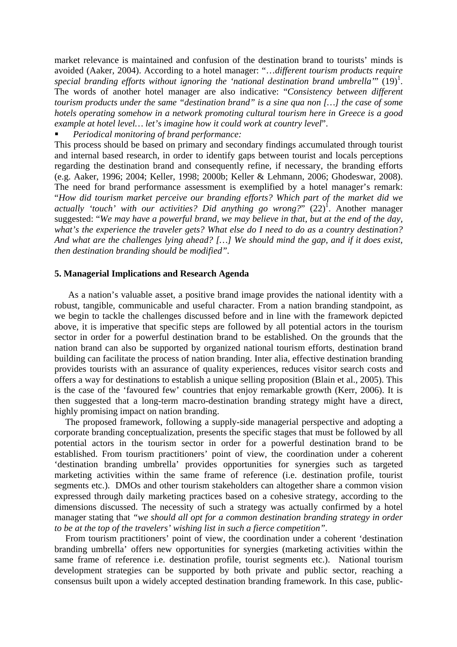market relevance is maintained and confusion of the destination brand to tourists' minds is avoided (Aaker, 2004). According to a hotel manager: "…*different tourism products require*  special branding efforts without ignoring the 'national destination brand umbrella'"  $(19)^1$ . The words of another hotel manager are also indicative: "*Consistency between different tourism products under the same "destination brand" is a sine qua non […] the case of some hotels operating somehow in a network promoting cultural tourism here in Greece is a good example at hotel level… let's imagine how it could work at country level*".

*Periodical monitoring of brand performance:*

This process should be based on primary and secondary findings accumulated through tourist and internal based research, in order to identify gaps between tourist and locals perceptions regarding the destination brand and consequently refine, if necessary, the branding efforts (e.g. Aaker, 1996; 2004; Keller, 1998; 2000b; Keller & Lehmann, 2006; Ghodeswar, 2008). The need for brand performance assessment is exemplified by a hotel manager's remark: "*How did tourism market perceive our branding efforts? Which part of the market did we*  actually 'touch' with our activities? Did anything go wrong?" (22)<sup>1</sup>. Another manager suggested: "*We may have a powerful brand, we may believe in that, but at the end of the day, what's the experience the traveler gets? What else do I need to do as a country destination? And what are the challenges lying ahead? […] We should mind the gap, and if it does exist, then destination branding should be modified".*

# **5. Managerial Implications and Research Agenda**

As a nation's valuable asset, a positive brand image provides the national identity with a robust, tangible, communicable and useful character. From a nation branding standpoint, as we begin to tackle the challenges discussed before and in line with the framework depicted above, it is imperative that specific steps are followed by all potential actors in the tourism sector in order for a powerful destination brand to be established. On the grounds that the nation brand can also be supported by organized national tourism efforts, destination brand building can facilitate the process of nation branding. Inter alia, effective destination branding provides tourists with an assurance of quality experiences, reduces visitor search costs and offers a way for destinations to establish a unique selling proposition (Blain et al., 2005). This is the case of the 'favoured few' countries that enjoy remarkable growth (Kerr, 2006). It is then suggested that a long-term macro-destination branding strategy might have a direct, highly promising impact on nation branding.

The proposed framework, following a supply-side managerial perspective and adopting a corporate branding conceptualization, presents the specific stages that must be followed by all potential actors in the tourism sector in order for a powerful destination brand to be established. From tourism practitioners' point of view, the coordination under a coherent 'destination branding umbrella' provides opportunities for synergies such as targeted marketing activities within the same frame of reference (i.e. destination profile, tourist segments etc.). DMOs and other tourism stakeholders can altogether share a common vision expressed through daily marketing practices based on a cohesive strategy, according to the dimensions discussed. The necessity of such a strategy was actually confirmed by a hotel manager stating that *"we should all opt for a common destination branding strategy in order to be at the top of the travelers' wishing list in such a fierce competition".* 

From tourism practitioners' point of view, the coordination under a coherent 'destination branding umbrella' offers new opportunities for synergies (marketing activities within the same frame of reference i.e. destination profile, tourist segments etc.). National tourism development strategies can be supported by both private and public sector, reaching a consensus built upon a widely accepted destination branding framework. In this case, public-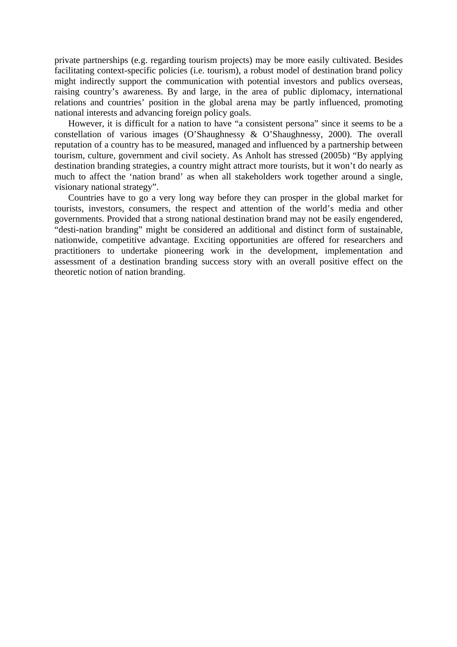private partnerships (e.g. regarding tourism projects) may be more easily cultivated. Besides facilitating context-specific policies (i.e. tourism), a robust model of destination brand policy might indirectly support the communication with potential investors and publics overseas, raising country's awareness. By and large, in the area of public diplomacy, international relations and countries' position in the global arena may be partly influenced, promoting national interests and advancing foreign policy goals.

However, it is difficult for a nation to have "a consistent persona" since it seems to be a constellation of various images (O'Shaughnessy & O'Shaughnessy, 2000). The overall reputation of a country has to be measured, managed and influenced by a partnership between tourism, culture, government and civil society. As Anholt has stressed (2005b) "By applying destination branding strategies, a country might attract more tourists, but it won't do nearly as much to affect the 'nation brand' as when all stakeholders work together around a single, visionary national strategy".

Countries have to go a very long way before they can prosper in the global market for tourists, investors, consumers, the respect and attention of the world's media and other governments. Provided that a strong national destination brand may not be easily engendered, "desti-nation branding" might be considered an additional and distinct form of sustainable, nationwide, competitive advantage. Exciting opportunities are offered for researchers and practitioners to undertake pioneering work in the development, implementation and assessment of a destination branding success story with an overall positive effect on the theoretic notion of nation branding.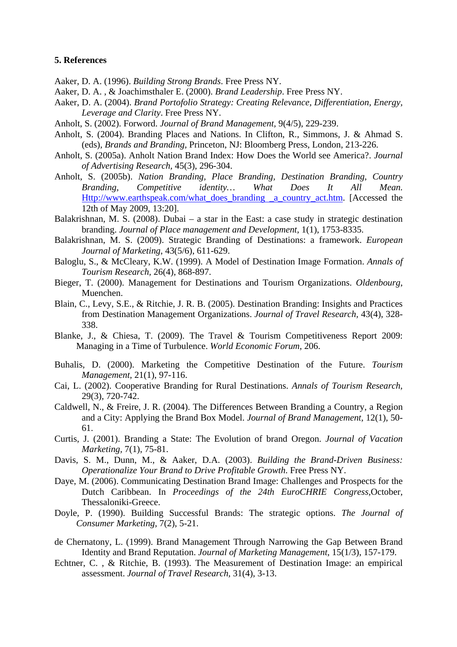## **5. References**

- Aaker, D. A. (1996). *Building Strong Brands*. Free Press NY.
- Aaker, D. A. , & Joachimsthaler E. (2000). *Brand Leadership*. Free Press NY.
- Aaker, D. A. (2004). *Brand Portofolio Strategy: Creating Relevance, Differentiation, Energy, Leverage and Clarity*. Free Press NY.
- Anholt, S. (2002). Forword. *Journal of Brand Management,* 9(4/5), 229-239.
- Anholt, S. (2004). Branding Places and Nations. In Clifton, R., Simmons, J. & Ahmad S. (eds), *Brands and Branding,* Princeton, NJ: Bloomberg Press, London, 213-226.
- Anholt, S. (2005a). Anholt Nation Brand Index: How Does the World see America?. *Journal of Advertising Research,* 45(3), 296-304.
- Anholt, S. (2005b). *Nation Branding, Place Branding, Destination Branding, Country Branding, Competitive identity… What Does It All Mean.*  Http://www.earthspeak.com/what\_does\_branding \_a\_country\_act.htm. [Accessed the 12th of May 2009, 13:20].
- Balakrishnan, M. S. (2008). Dubai a star in the East: a case study in strategic destination branding. *Journal of Place management and Development,* 1(1), 1753-8335.
- Balakrishnan, M. S. (2009). Strategic Branding of Destinations: a framework. *European Journal of Marketing,* 43(5/6), 611-629.
- Baloglu, S., & McCleary, K.W. (1999). A Model of Destination Image Formation. *Annals of Tourism Research,* 26(4), 868-897.
- Bieger, T. (2000). Management for Destinations and Tourism Organizations. *Oldenbourg,*  Muenchen.
- Blain, C., Levy, S.E., & Ritchie, J. R. B. (2005). Destination Branding: Insights and Practices from Destination Management Organizations. *Journal of Travel Research,* 43(4), 328- 338.
- Blanke, J., & Chiesa, T. (2009). The Travel & Tourism Competitiveness Report 2009: Managing in a Time of Turbulence. *World Economic Forum*, 206.
- Buhalis, D. (2000). Marketing the Competitive Destination of the Future. *Tourism Management,* 21(1), 97-116.
- Cai, L. (2002). Cooperative Branding for Rural Destinations. *Annals of Tourism Research,*  29(3), 720-742.
- Caldwell, N., & Freire, J. R. (2004). The Differences Between Branding a Country, a Region and a City: Applying the Brand Box Model. *Journal of Brand Management,* 12(1), 50- 61.
- Curtis, J. (2001). Branding a State: The Evolution of brand Oregon. *Journal of Vacation Marketing,* 7(1), 75-81.
- Davis, S. M., Dunn, M., & Aaker, D.A. (2003). *Building the Brand-Driven Business: Operationalize Your Brand to Drive Profitable Growth*. Free Press NY.
- Daye, M. (2006). Communicating Destination Brand Image: Challenges and Prospects for the Dutch Caribbean. In *Proceedings of the 24th EuroCHRIE Congress,*October, Thessaloniki-Greece.
- Doyle, P. (1990). Building Successful Brands: The strategic options. *The Journal of Consumer Marketing*, 7(2), 5-21.
- de Chernatony, L. (1999). Brand Management Through Narrowing the Gap Between Brand Identity and Brand Reputation. *Journal of Marketing Management*, 15(1/3), 157-179.
- Echtner, C. , & Ritchie, B. (1993). The Measurement of Destination Image: an empirical assessment. *Journal of Travel Research,* 31(4), 3-13.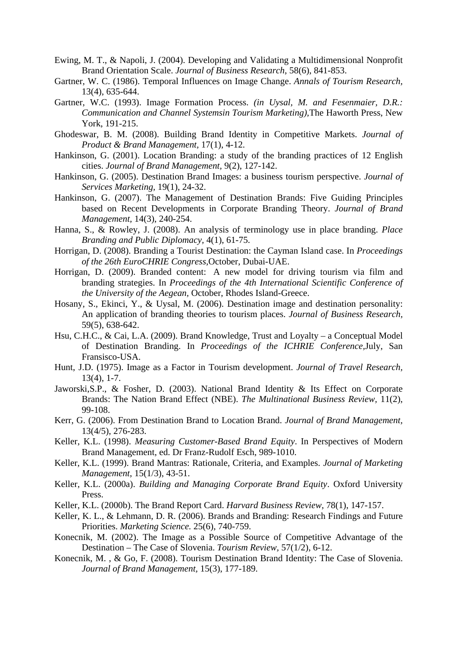- Ewing, M. T., & Napoli, J. (2004). Developing and Validating a Multidimensional Nonprofit Brand Orientation Scale. *Journal of Business Research*, 58(6), 841-853.
- Gartner, W. C. (1986). Temporal Influences on Image Change. *Annals of Tourism Research,*  13(4), 635-644.
- Gartner, W.C. (1993). Image Formation Process. *(in Uysal, M. and Fesenmaier, D.R.: Communication and Channel Systemsin Tourism Marketing),*The Haworth Press, New York, 191-215.
- Ghodeswar, B. M. (2008). Building Brand Identity in Competitive Markets. *Journal of Product & Brand Management,* 17(1), 4-12.
- Hankinson, G. (2001). Location Branding: a study of the branding practices of 12 English cities. *Journal of Brand Management,* 9(2), 127-142.
- Hankinson, G. (2005). Destination Brand Images: a business tourism perspective. *Journal of Services Marketing,* 19(1), 24-32.
- Hankinson, G. (2007). The Management of Destination Brands: Five Guiding Principles based on Recent Developments in Corporate Branding Theory. *Journal of Brand Management,* 14(3), 240-254.
- Hanna, S., & Rowley, J. (2008). An analysis of terminology use in place branding. *Place Branding and Public Diplomacy,* 4(1), 61-75.
- Horrigan, D. (2008). Branding a Tourist Destination: the Cayman Island case. In *Proceedings of the 26th EuroCHRIE Congress,*October, Dubai-UAE.
- Horrigan, D. (2009). Branded content: A new model for driving tourism via film and branding strategies. In *Proceedings of the 4th International Scientific Conference of the University of the Aegean,* October, Rhodes Island-Greece.
- Hosany, S., Ekinci, Y., & Uysal, M. (2006). Destination image and destination personality: An application of branding theories to tourism places. *Journal of Business Research,* 59(5), 638-642.
- Hsu, C.H.C., & Cai, L.A. (2009). Brand Knowledge, Trust and Loyalty a Conceptual Model of Destination Branding. In *Proceedings of the ICHRIE Conference,*July, San Fransisco-USA.
- Hunt, J.D. (1975). Image as a Factor in Tourism development. *Journal of Travel Research,*  13(4), 1-7.
- Jaworski,S.P., & Fosher, D. (2003). National Brand Identity & Its Effect on Corporate Brands: The Nation Brand Effect (NBE). *The Multinational Business Review,* 11(2), 99-108.
- Kerr, G. (2006). From Destination Brand to Location Brand. *Journal of Brand Management,*  13(4/5), 276-283.
- Keller, K.L. (1998). *Measuring Customer-Based Brand Equity*. In Perspectives of Modern Brand Management, ed. Dr Franz-Rudolf Esch, 989-1010.
- Keller, K.L. (1999). Brand Mantras: Rationale, Criteria, and Examples. *Journal of Marketing Management*, 15(1/3), 43-51.
- Keller, K.L. (2000a). *Building and Managing Corporate Brand Equity*. Oxford University Press.
- Keller, K.L. (2000b). The Brand Report Card. *Harvard Business Review*, 78(1), 147-157.
- Keller, K. L., & Lehmann, D. R. (2006). Brands and Branding: Research Findings and Future Priorities. *Marketing Science.* 25(6), 740-759.
- Konecnik, M. (2002). The Image as a Possible Source of Competitive Advantage of the Destination – The Case of Slovenia. *Tourism Review,* 57(1/2), 6-12.
- Konecnik, M. , & Go, F. (2008). Tourism Destination Brand Identity: The Case of Slovenia. *Journal of Brand Management,* 15(3), 177-189.